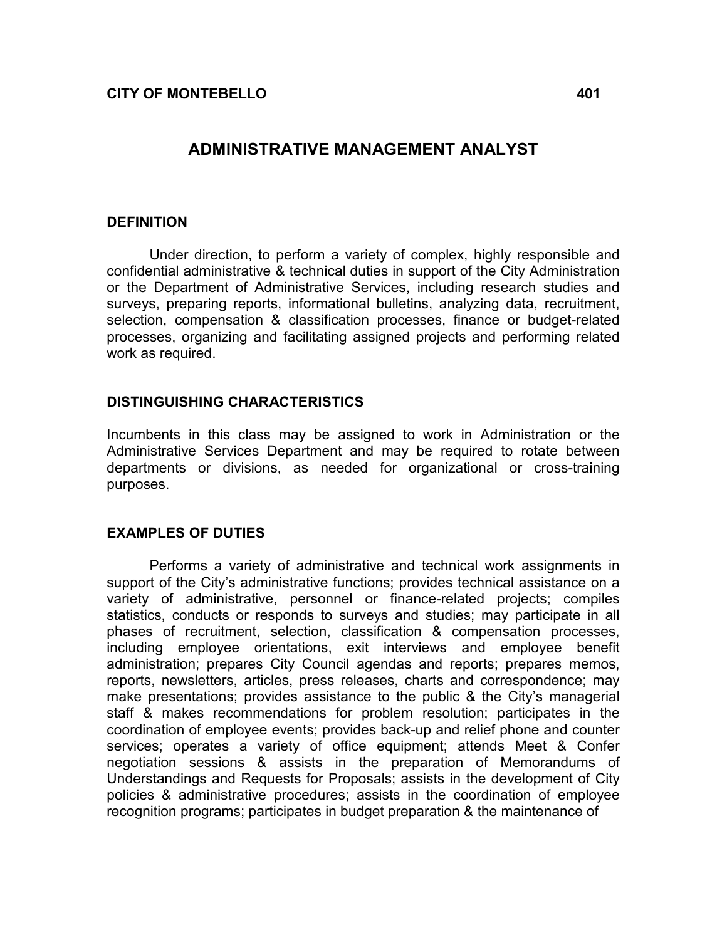# ADMINISTRATIVE MANAGEMENT ANALYST

### DEFINITION

Under direction, to perform a variety of complex, highly responsible and confidential administrative & technical duties in support of the City Administration or the Department of Administrative Services, including research studies and surveys, preparing reports, informational bulletins, analyzing data, recruitment, selection, compensation & classification processes, finance or budget-related processes, organizing and facilitating assigned projects and performing related work as required.

## DISTINGUISHING CHARACTERISTICS

Incumbents in this class may be assigned to work in Administration or the Administrative Services Department and may be required to rotate between departments or divisions, as needed for organizational or cross-training purposes.

## EXAMPLES OF DUTIES

 Performs a variety of administrative and technical work assignments in support of the City's administrative functions; provides technical assistance on a variety of administrative, personnel or finance-related projects; compiles statistics, conducts or responds to surveys and studies; may participate in all phases of recruitment, selection, classification & compensation processes, including employee orientations, exit interviews and employee benefit administration; prepares City Council agendas and reports; prepares memos, reports, newsletters, articles, press releases, charts and correspondence; may make presentations; provides assistance to the public & the City's managerial staff & makes recommendations for problem resolution; participates in the coordination of employee events; provides back-up and relief phone and counter services; operates a variety of office equipment; attends Meet & Confer negotiation sessions & assists in the preparation of Memorandums of Understandings and Requests for Proposals; assists in the development of City policies & administrative procedures; assists in the coordination of employee recognition programs; participates in budget preparation & the maintenance of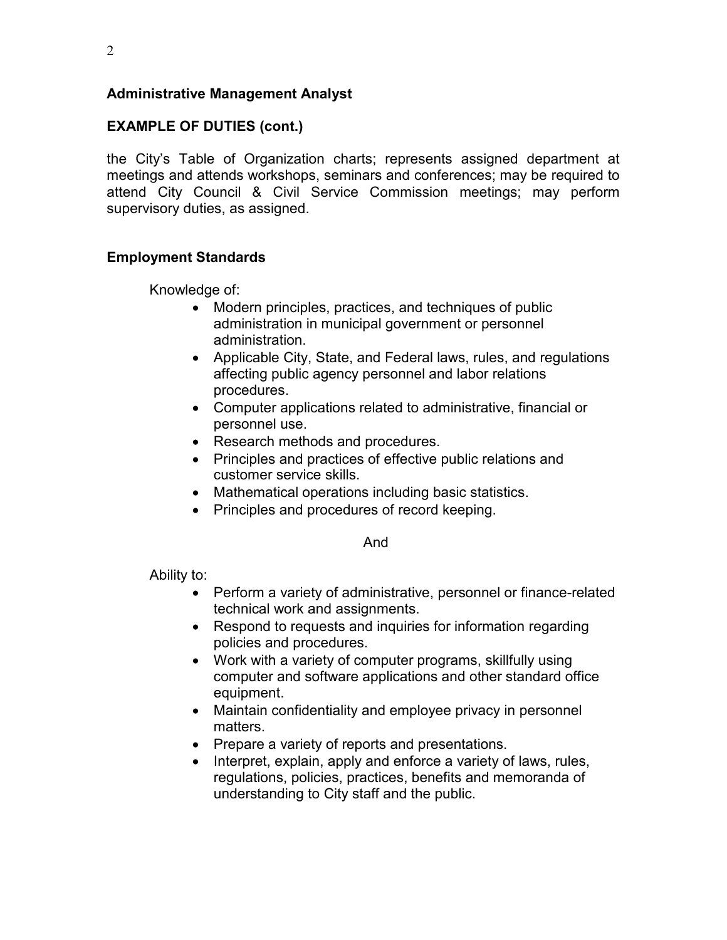# Administrative Management Analyst

# EXAMPLE OF DUTIES (cont.)

the City's Table of Organization charts; represents assigned department at meetings and attends workshops, seminars and conferences; may be required to attend City Council & Civil Service Commission meetings; may perform supervisory duties, as assigned.

## Employment Standards

Knowledge of:

- Modern principles, practices, and techniques of public administration in municipal government or personnel administration.
- Applicable City, State, and Federal laws, rules, and regulations affecting public agency personnel and labor relations procedures.
- Computer applications related to administrative, financial or personnel use.
- Research methods and procedures.
- Principles and practices of effective public relations and customer service skills.
- Mathematical operations including basic statistics.
- Principles and procedures of record keeping.

And

Ability to:

- Perform a variety of administrative, personnel or finance-related technical work and assignments.
- Respond to requests and inquiries for information regarding policies and procedures.
- Work with a variety of computer programs, skillfully using computer and software applications and other standard office equipment.
- Maintain confidentiality and employee privacy in personnel matters.
- Prepare a variety of reports and presentations.
- Interpret, explain, apply and enforce a variety of laws, rules, regulations, policies, practices, benefits and memoranda of understanding to City staff and the public.